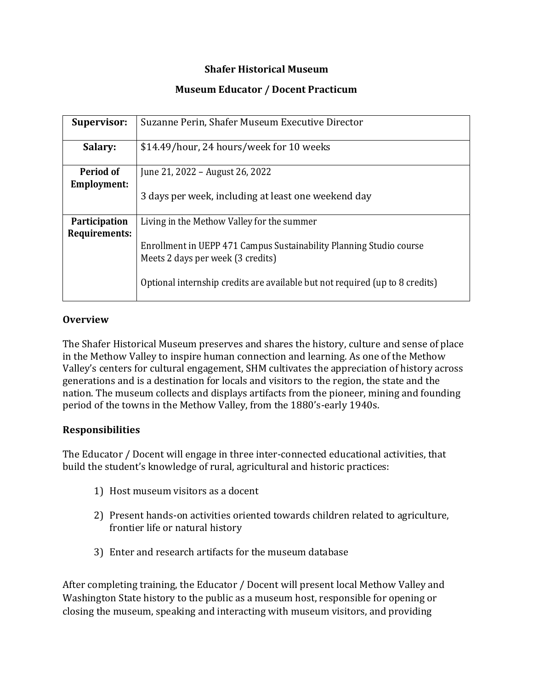## **Shafer Historical Museum**

## **Museum Educator / Docent Practicum**

| <b>Supervisor:</b>                    | Suzanne Perin, Shafer Museum Executive Director                                                          |
|---------------------------------------|----------------------------------------------------------------------------------------------------------|
| Salary:                               | \$14.49/hour, 24 hours/week for 10 weeks                                                                 |
| Period of<br>Employment:              | June 21, 2022 – August 26, 2022                                                                          |
|                                       | 3 days per week, including at least one weekend day                                                      |
| <b>Participation</b><br>Requirements: | Living in the Methow Valley for the summer                                                               |
|                                       | Enrollment in UEPP 471 Campus Sustainability Planning Studio course<br>Meets 2 days per week (3 credits) |
|                                       | Optional internship credits are available but not required (up to 8 credits)                             |

#### **Overview**

The Shafer Historical Museum preserves and shares the history, culture and sense of place in the Methow Valley to inspire human connection and learning. As one of the Methow Valley's centers for cultural engagement, SHM cultivates the appreciation of history across generations and is a destination for locals and visitors to the region, the state and the nation. The museum collects and displays artifacts from the pioneer, mining and founding period of the towns in the Methow Valley, from the 1880's-early 1940s.

#### **Responsibilities**

The Educator / Docent will engage in three inter-connected educational activities, that build the student's knowledge of rural, agricultural and historic practices:

- 1) Host museum visitors as a docent
- 2) Present hands-on activities oriented towards children related to agriculture, frontier life or natural history
- 3) Enter and research artifacts for the museum database

After completing training, the Educator / Docent will present local Methow Valley and Washington State history to the public as a museum host, responsible for opening or closing the museum, speaking and interacting with museum visitors, and providing